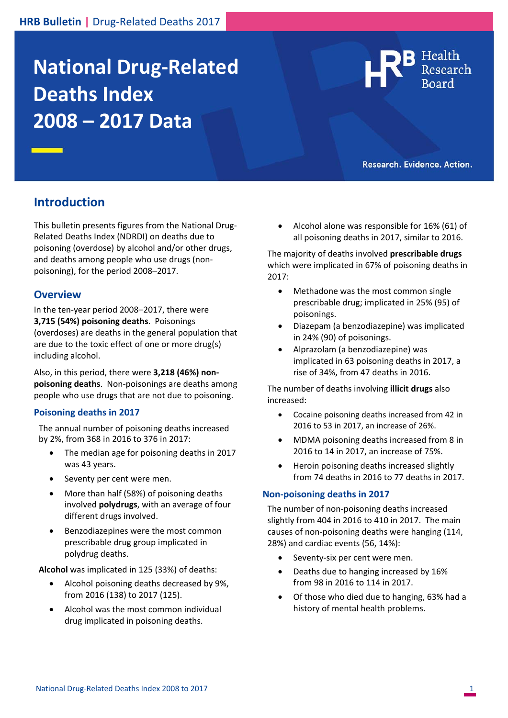# **National Drug‐Related Deaths Index 2008 – 2017 Data**



**B** Health

## **Introduction**

This bulletin presents figures from the National Drug‐ Related Deaths Index (NDRDI) on deaths due to poisoning (overdose) by alcohol and/or other drugs, and deaths among people who use drugs (non‐ poisoning), for the period 2008–2017.

#### **Overview**

In the ten‐year period 2008–2017, there were **3,715 (54%) poisoning deaths**. Poisonings (overdoses) are deaths in the general population that are due to the toxic effect of one or more drug(s) including alcohol.

Also, in this period, there were **3,218 (46%) non‐ poisoning deaths**. Non‐poisonings are deaths among people who use drugs that are not due to poisoning.

#### **Poisoning deaths in 2017**

The annual number of poisoning deaths increased by 2%, from 368 in 2016 to 376 in 2017:

- The median age for poisoning deaths in 2017 was 43 years.
- Seventy per cent were men.
- More than half (58%) of poisoning deaths involved **polydrugs**, with an average of four different drugs involved.
- Benzodiazepines were the most common prescribable drug group implicated in polydrug deaths.

**Alcohol** was implicated in 125 (33%) of deaths:

- Alcohol poisoning deaths decreased by 9%, from 2016 (138) to 2017 (125).
- Alcohol was the most common individual drug implicated in poisoning deaths.

 Alcohol alone was responsible for 16% (61) of all poisoning deaths in 2017, similar to 2016.

The majority of deaths involved **prescribable drugs** which were implicated in 67% of poisoning deaths in 2017:

- Methadone was the most common single prescribable drug; implicated in 25% (95) of poisonings.
- Diazepam (a benzodiazepine) was implicated in 24% (90) of poisonings.
- Alprazolam (a benzodiazepine) was implicated in 63 poisoning deaths in 2017, a rise of 34%, from 47 deaths in 2016.

The number of deaths involving **illicit drugs** also increased:

- Cocaine poisoning deaths increased from 42 in 2016 to 53 in 2017, an increase of 26%.
- MDMA poisoning deaths increased from 8 in 2016 to 14 in 2017, an increase of 75%.
- Heroin poisoning deaths increased slightly from 74 deaths in 2016 to 77 deaths in 2017.

#### **Non‐poisoning deaths in 2017**

The number of non‐poisoning deaths increased slightly from 404 in 2016 to 410 in 2017. The main causes of non‐poisoning deaths were hanging (114, 28%) and cardiac events (56, 14%):

- Seventy‐six per cent were men.
- Deaths due to hanging increased by 16% from 98 in 2016 to 114 in 2017.
- Of those who died due to hanging, 63% had a history of mental health problems.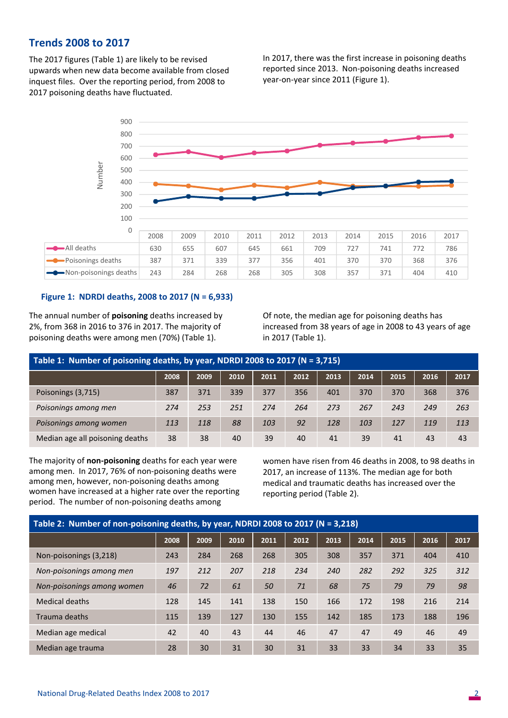### **Trends 2008 to 2017**

The 2017 figures (Table 1) are likely to be revised upwards when new data become available from closed inquest files. Over the reporting period, from 2008 to 2017 poisoning deaths have fluctuated.

In 2017, there was the first increase in poisoning deaths reported since 2013. Non‐poisoning deaths increased year‐on‐year since 2011 (Figure 1).



#### **Figure 1: NDRDI deaths, 2008 to 2017 (N = 6,933)**

The annual number of **poisoning** deaths increased by 2%, from 368 in 2016 to 376 in 2017. The majority of poisoning deaths were among men (70%) (Table 1).

 Of note, the median age for poisoning deaths has increased from 38 years of age in 2008 to 43 years of age in 2017 (Table 1).

| Table 1: Number of poisoning deaths, by year, NDRDI 2008 to 2017 (N = 3,715) |      |      |      |      |      |      |      |      |      |      |  |  |
|------------------------------------------------------------------------------|------|------|------|------|------|------|------|------|------|------|--|--|
|                                                                              | 2008 | 2009 | 2010 | 2011 | 2012 | 2013 | 2014 | 2015 | 2016 | 2017 |  |  |
| Poisonings (3,715)                                                           | 387  | 371  | 339  | 377  | 356  | 401  | 370  | 370  | 368  | 376  |  |  |
| Poisonings among men                                                         | 274  | 253  | 251  | 274  | 264  | 273  | 267  | 243  | 249  | 263  |  |  |
| Poisonings among women                                                       | 113  | 118  | 88   | 103  | 92   | 128  | 103  | 127  | 119  | 113  |  |  |
| Median age all poisoning deaths                                              | 38   | 38   | 40   | 39   | 40   | 41   | 39   | 41   | 43   | 43   |  |  |

The majority of **non‐poisoning** deaths for each year were among men. In 2017, 76% of non‐poisoning deaths were among men, however, non‐poisoning deaths among women have increased at a higher rate over the reporting period. The number of non‐poisoning deaths among

women have risen from 46 deaths in 2008, to 98 deaths in 2017, an increase of 113%. The median age for both medical and traumatic deaths has increased over the reporting period (Table 2).

| Table 2: Number of non-poisoning deaths, by year, NDRDI 2008 to 2017 (N = 3,218) |      |      |      |      |      |      |      |      |      |      |  |  |
|----------------------------------------------------------------------------------|------|------|------|------|------|------|------|------|------|------|--|--|
|                                                                                  | 2008 | 2009 | 2010 | 2011 | 2012 | 2013 | 2014 | 2015 | 2016 | 2017 |  |  |
| Non-poisonings (3,218)                                                           | 243  | 284  | 268  | 268  | 305  | 308  | 357  | 371  | 404  | 410  |  |  |
| Non-poisonings among men                                                         | 197  | 212  | 207  | 218  | 234  | 240  | 282  | 292  | 325  | 312  |  |  |
| Non-poisonings among women                                                       | 46   | 72   | 61   | 50   | 71   | 68   | 75   | 79   | 79   | 98   |  |  |
| Medical deaths                                                                   | 128  | 145  | 141  | 138  | 150  | 166  | 172  | 198  | 216  | 214  |  |  |
| Trauma deaths                                                                    | 115  | 139  | 127  | 130  | 155  | 142  | 185  | 173  | 188  | 196  |  |  |
| Median age medical                                                               | 42   | 40   | 43   | 44   | 46   | 47   | 47   | 49   | 46   | 49   |  |  |
| Median age trauma                                                                | 28   | 30   | 31   | 30   | 31   | 33   | 33   | 34   | 33   | 35   |  |  |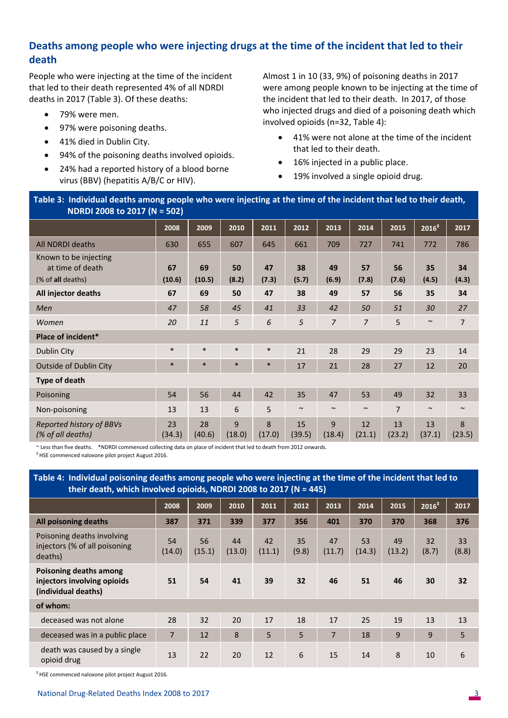## **Deaths among people who were injecting drugs at the time of the incident that led to their death**

People who were injecting at the time of the incident that led to their death represented 4% of all NDRDI deaths in 2017 (Table 3). Of these deaths:

- 79% were men.
- 97% were poisoning deaths.
- 41% died in Dublin City.
- 94% of the poisoning deaths involved opioids.
- 24% had a reported history of a blood borne virus (BBV) (hepatitis A/B/C or HIV).

Almost 1 in 10 (33, 9%) of poisoning deaths in 2017 were among people known to be injecting at the time of the incident that led to their death. In 2017, of those who injected drugs and died of a poisoning death which involved opioids (n=32, Table 4):

- 41% were not alone at the time of the incident that led to their death.
- 16% injected in a public place.
- 19% involved a single opioid drug.

**Table 3: Individual deaths among people who were injecting at the time of the incident that led to their death, NDRDI 2008 to 2017 (N = 502)** 

|                                                                | 2008         | 2009         | 2010        | 2011        | 2012         | 2013           | 2014           | 2015           | 2016 <sup>‡</sup> | 2017        |
|----------------------------------------------------------------|--------------|--------------|-------------|-------------|--------------|----------------|----------------|----------------|-------------------|-------------|
| All NDRDI deaths                                               | 630          | 655          | 607         | 645         | 661          | 709            | 727            | 741            | 772               | 786         |
| Known to be injecting<br>at time of death<br>(% of all deaths) | 67<br>(10.6) | 69<br>(10.5) | 50<br>(8.2) | 47<br>(7.3) | 38<br>(5.7)  | 49<br>(6.9)    | 57<br>(7.8)    | 56<br>(7.6)    | 35<br>(4.5)       | 34<br>(4.3) |
| All injector deaths                                            | 67           | 69           | 50          | 47          | 38           | 49             | 57             | 56             | 35                | 34          |
| Men                                                            | 47           | 58           | 45          | 41          | 33           | 42             | 50             | 51             | 30                | 27          |
| Women                                                          | 20           | 11           | 5           | 6           | 5            | $\overline{7}$ | $\overline{7}$ | 5              | $\sim$            | 7           |
| Place of incident*                                             |              |              |             |             |              |                |                |                |                   |             |
| Dublin City                                                    | $\ast$       | $\ast$       | $\ast$      | $\ast$      | 21           | 28             | 29             | 29             | 23                | 14          |
| <b>Outside of Dublin City</b>                                  | $\ast$       | $\ast$       | $\ast$      | $\ast$      | 17           | 21             | 28             | 27             | 12                | 20          |
| Type of death                                                  |              |              |             |             |              |                |                |                |                   |             |
| Poisoning                                                      | 54           | 56           | 44          | 42          | 35           | 47             | 53             | 49             | 32                | 33          |
| Non-poisoning                                                  | 13           | 13           | 6           | 5           | $\sim$       | $\sim$         | $\sim$         | $\overline{7}$ | $\sim$            | $\sim$      |
| Reported history of BBVs<br>(% of all deaths)                  | 23<br>(34.3) | 28<br>(40.6) | 9<br>(18.0) | 8<br>(17.0) | 15<br>(39.5) | 9<br>(18.4)    | 12<br>(21.1)   | 13<br>(23.2)   | 13<br>(37.1)      | 8<br>(23.5) |

~ Less than five deaths. \*NDRDI commenced collecting data on place of incident that led to death from 2012 onwards.

‡ HSE commenced naloxone pilot project August 2016.

**Table 4: Individual poisoning deaths among people who were injecting at the time of the incident that led to their death, which involved opioids, NDRDI 2008 to 2017 (N = 445)** 

|                                                                              | 2008           | 2009         | 2010         | 2011         | 2012        | 2013         | 2014         | 2015         | 2016 <sup>‡</sup> | 2017        |
|------------------------------------------------------------------------------|----------------|--------------|--------------|--------------|-------------|--------------|--------------|--------------|-------------------|-------------|
| All poisoning deaths                                                         | 387            | 371          | 339          | 377          | 356         | 401          | 370          | 370          | 368               | 376         |
| Poisoning deaths involving<br>injectors (% of all poisoning<br>deaths)       | 54<br>(14.0)   | 56<br>(15.1) | 44<br>(13.0) | 42<br>(11.1) | 35<br>(9.8) | 47<br>(11.7) | 53<br>(14.3) | 49<br>(13.2) | 32<br>(8.7)       | 33<br>(8.8) |
| Poisoning deaths among<br>injectors involving opioids<br>(individual deaths) | 51             | 54           | 41           | 39           | 32          | 46           | 51           | 46           | 30                | 32          |
| of whom:                                                                     |                |              |              |              |             |              |              |              |                   |             |
| deceased was not alone                                                       | 28             | 32           | 20           | 17           | 18          | 17           | 25           | 19           | 13                | 13          |
| deceased was in a public place                                               | $\overline{7}$ | 12           | 8            | 5            | 5           | 7            | 18           | 9            | 9                 | 5           |
| death was caused by a single<br>opioid drug                                  | 13             | 22           | 20           | 12           | 6           | 15           | 14           | 8            | 10                | 6           |

‡ HSE commenced naloxone pilot project August 2016.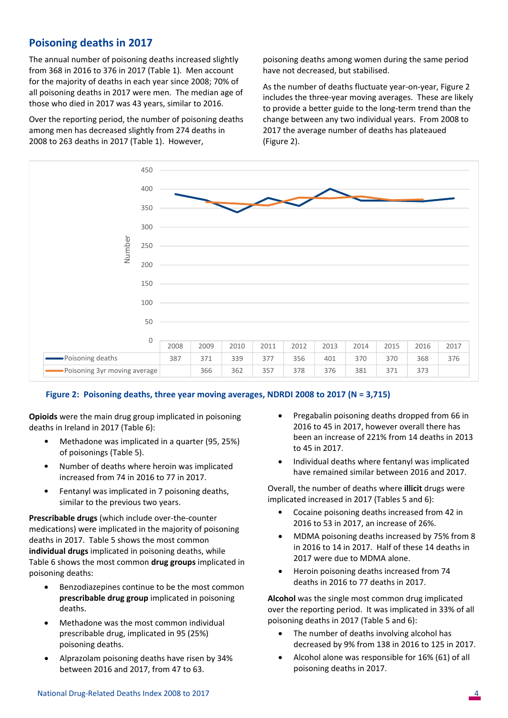## **Poisoning deaths in 2017**

The annual number of poisoning deaths increased slightly from 368 in 2016 to 376 in 2017 (Table 1).Men account for the majority of deaths in each year since 2008; 70% of all poisoning deaths in 2017 were men. The median age of those who died in 2017 was 43 years, similar to 2016.

Over the reporting period, the number of poisoning deaths among men has decreased slightly from 274 deaths in 2008 to 263 deaths in 2017 (Table 1). However,

poisoning deaths among women during the same period have not decreased, but stabilised.

As the number of deaths fluctuate year‐on‐year, Figure 2 includes the three‐year moving averages. These are likely to provide a better guide to the long‐term trend than the change between any two individual years. From 2008 to 2017 the average number of deaths has plateaued (Figure 2).



#### **Figure 2: Poisoning deaths, three year moving averages, NDRDI 2008 to 2017 (N = 3,715)**

**Opioids** were the main drug group implicated in poisoning deaths in Ireland in 2017 (Table 6):

- Methadone was implicated in a quarter (95, 25%) of poisonings (Table 5).
- Number of deaths where heroin was implicated increased from 74 in 2016 to 77 in 2017.
- Fentanyl was implicated in 7 poisoning deaths, similar to the previous two years.

**Prescribable drugs** (which include over‐the‐counter medications) were implicated in the majority of poisoning deaths in 2017. Table 5 shows the most common **individual drugs** implicated in poisoning deaths, while Table 6 shows the most common **drug groups** implicated in poisoning deaths:

- Benzodiazepines continue to be the most common **prescribable drug group** implicated in poisoning deaths.
- Methadone was the most common individual prescribable drug, implicated in 95 (25%) poisoning deaths.
- Alprazolam poisoning deaths have risen by 34% between 2016 and 2017, from 47 to 63.
- Pregabalin poisoning deaths dropped from 66 in 2016 to 45 in 2017, however overall there has been an increase of 221% from 14 deaths in 2013 to 45 in 2017.
- Individual deaths where fentanyl was implicated have remained similar between 2016 and 2017.

Overall, the number of deaths where **illicit** drugs were implicated increased in 2017 (Tables 5 and 6):

- Cocaine poisoning deaths increased from 42 in 2016 to 53 in 2017, an increase of 26%.
- MDMA poisoning deaths increased by 75% from 8 in 2016 to 14 in 2017. Half of these 14 deaths in 2017 were due to MDMA alone.
- Heroin poisoning deaths increased from 74 deaths in 2016 to 77 deaths in 2017.

**Alcohol** was the single most common drug implicated over the reporting period. It was implicated in 33% of all poisoning deaths in 2017 (Table 5 and 6):

- The number of deaths involving alcohol has decreased by 9% from 138 in 2016 to 125 in 2017.
- Alcohol alone was responsible for 16% (61) of all poisoning deaths in 2017.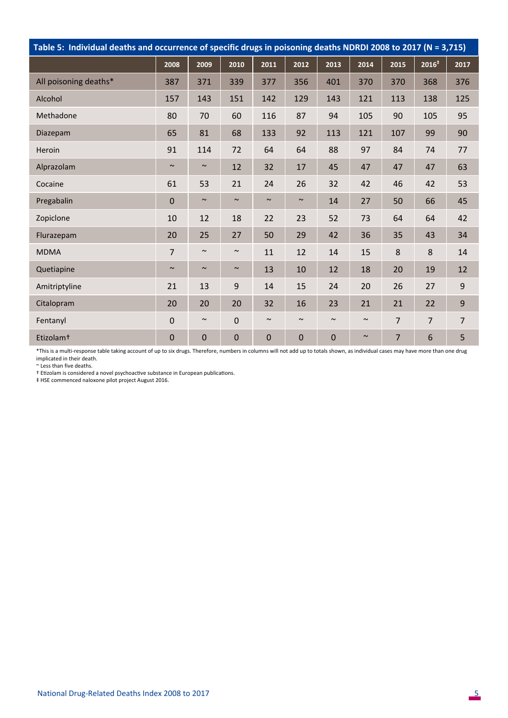| Table 5: Individual deaths and occurrence of specific drugs in poisoning deaths NDRDI 2008 to 2017 (N = 3,715) |                |        |                |             |        |             |        |                |                   |      |  |  |
|----------------------------------------------------------------------------------------------------------------|----------------|--------|----------------|-------------|--------|-------------|--------|----------------|-------------------|------|--|--|
|                                                                                                                | 2008           | 2009   | 2010           | 2011        | 2012   | 2013        | 2014   | 2015           | 2016 <sup>‡</sup> | 2017 |  |  |
| All poisoning deaths*                                                                                          | 387            | 371    | 339            | 377         | 356    | 401         | 370    | 370            | 368               | 376  |  |  |
| Alcohol                                                                                                        | 157            | 143    | 151            | 142         | 129    | 143         | 121    | 113            | 138               | 125  |  |  |
| Methadone                                                                                                      | 80             | 70     | 60             | 116         | 87     | 94          | 105    | 90             | 105               | 95   |  |  |
| Diazepam                                                                                                       | 65             | 81     | 68             | 133         | 92     | 113         | 121    | 107            | 99                | 90   |  |  |
| Heroin                                                                                                         | 91             | 114    | 72             | 64          | 64     | 88          | 97     | 84             | 74                | 77   |  |  |
| Alprazolam                                                                                                     | $\sim$         | $\sim$ | 12             | 32          | 17     | 45          | 47     | 47             | 47                | 63   |  |  |
| Cocaine                                                                                                        | 61             | 53     | 21             | 24          | 26     | 32          | 42     | 46             | 42                | 53   |  |  |
| Pregabalin                                                                                                     | $\overline{0}$ | $\sim$ | $\sim$         | $\sim$      | $\sim$ | 14          | 27     | 50             | 66                | 45   |  |  |
| Zopiclone                                                                                                      | 10             | 12     | 18             | 22          | 23     | 52          | 73     | 64             | 64                | 42   |  |  |
| Flurazepam                                                                                                     | 20             | 25     | 27             | 50          | 29     | 42          | 36     | 35             | 43                | 34   |  |  |
| <b>MDMA</b>                                                                                                    | $\overline{7}$ | $\sim$ | $\sim$         | 11          | 12     | 14          | 15     | 8              | 8                 | 14   |  |  |
| Quetiapine                                                                                                     | $\sim$         | $\sim$ | $\sim$         | 13          | 10     | 12          | 18     | 20             | 19                | 12   |  |  |
| Amitriptyline                                                                                                  | 21             | 13     | 9              | 14          | 15     | 24          | 20     | 26             | 27                | 9    |  |  |
| Citalopram                                                                                                     | 20             | 20     | 20             | 32          | 16     | 23          | 21     | 21             | 22                | 9    |  |  |
| Fentanyl                                                                                                       | 0              | $\sim$ | $\overline{0}$ | $\sim$      | $\sim$ | $\sim$      | $\sim$ | $\overline{7}$ | $\overline{7}$    | 7    |  |  |
| Etizolam <sup>+</sup>                                                                                          | $\mathbf 0$    | 0      | $\mathbf 0$    | $\mathbf 0$ | 0      | $\mathbf 0$ | $\sim$ | $\overline{7}$ | 6                 | 5    |  |  |

\*This is a multi‐response table taking account of up to six drugs. Therefore, numbers in columns will not add up to totals shown, as individual cases may have more than one drug implicated in their death.

~ Less than five deaths.

† EƟzolam is considered a novel psychoacƟve substance in European publicaƟons.

‡ HSE commenced naloxone pilot project August 2016.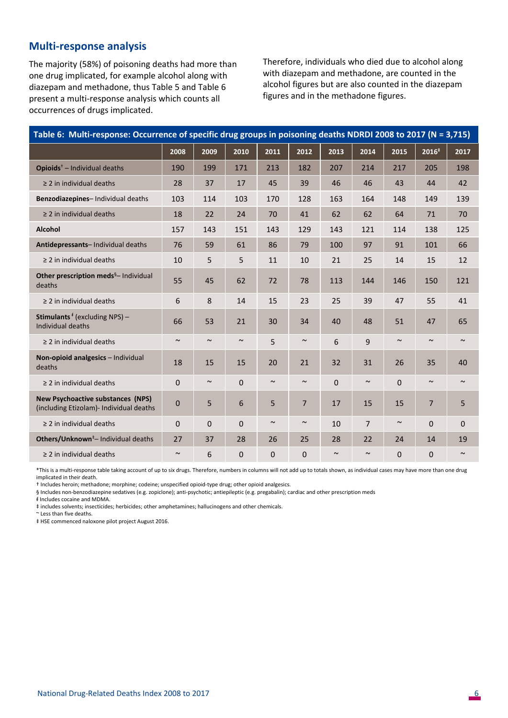## **Multi‐response analysis**

The majority (58%) of poisoning deaths had more than one drug implicated, for example alcohol along with diazepam and methadone, thus Table 5 and Table 6 present a multi‐response analysis which counts all occurrences of drugs implicated.

Therefore, individuals who died due to alcohol along with diazepam and methadone, are counted in the alcohol figures but are also counted in the diazepam figures and in the methadone figures.

| Table 6: Multi-response: Occurrence of specific drug groups in poisoning deaths NDRDI 2008 to 2017 (N = 3,715) |             |              |              |        |             |                       |                |          |                     |        |  |  |
|----------------------------------------------------------------------------------------------------------------|-------------|--------------|--------------|--------|-------------|-----------------------|----------------|----------|---------------------|--------|--|--|
|                                                                                                                | 2008        | 2009         | 2010         | 2011   | 2012        | 2013                  | 2014           | 2015     | $\overline{2016}^*$ | 2017   |  |  |
| <b>Opioids</b> $^+$ – Individual deaths                                                                        | 190         | 199          | 171          | 213    | 182         | 207                   | 214            | 217      | 205                 | 198    |  |  |
| $\geq$ 2 in individual deaths                                                                                  | 28          | 37           | 17           | 45     | 39          | 46                    | 46             | 43       | 44                  | 42     |  |  |
| Benzodiazepines- Individual deaths                                                                             | 103         | 114          | 103          | 170    | 128         | 163                   | 164            | 148      | 149                 | 139    |  |  |
| $\geq$ 2 in individual deaths                                                                                  | 18          | 22           | 24           | 70     | 41          | 62                    | 62             | 64       | 71                  | 70     |  |  |
| Alcohol                                                                                                        | 157         | 143          | 151          | 143    | 129         | 143                   | 121            | 114      | 138                 | 125    |  |  |
| Antidepressants- Individual deaths                                                                             | 76          | 59           | 61           | 86     | 79          | 100                   | 97             | 91       | 101                 | 66     |  |  |
| $\geq$ 2 in individual deaths                                                                                  | 10          | 5            | 5            | 11     | 10          | 21                    | 25             | 14       | 15                  | 12     |  |  |
| Other prescription meds <sup>§</sup> - Individual<br>deaths                                                    | 55          | 45           | 62           | 72     | 78          | 113                   | 144            | 146      | 150                 | 121    |  |  |
| $\geq$ 2 in individual deaths                                                                                  | 6           | 8            | 14           | 15     | 23          | 25                    | 39             | 47       | 55                  | 41     |  |  |
| <b>Stimulants</b> <sup>#</sup> (excluding NPS) -<br>Individual deaths                                          | 66          | 53           | 21           | 30     | 34          | 40                    | 48             | 51       | 47                  | 65     |  |  |
| $\geq$ 2 in individual deaths                                                                                  | $\sim$      | $\sim$       | $\sim$       | 5      | $\sim$      | 6                     | 9              | $\sim$   | $\sim$              | $\sim$ |  |  |
| Non-opioid analgesics - Individual<br>deaths                                                                   | 18          | 15           | 15           | 20     | 21          | 32                    | 31             | 26       | 35                  | 40     |  |  |
| $\geq$ 2 in individual deaths                                                                                  | $\Omega$    | $\sim$       | $\mathbf{0}$ | $\sim$ | $\sim$      | $\Omega$              | $\sim$         | $\Omega$ | $\sim$              | $\sim$ |  |  |
| <b>New Psychoactive substances (NPS)</b><br>(including Etizolam) - Individual deaths                           | $\mathbf 0$ | 5            | 6            | 5      | 7           | 17                    | 15             | 15       | $\overline{7}$      | 5      |  |  |
| $\geq$ 2 in individual deaths                                                                                  | 0           | $\mathbf{0}$ | 0            | $\sim$ | $\sim$      | 10                    | $\overline{7}$ | $\sim$   | $\mathbf 0$         | 0      |  |  |
| Others/Unknown <sup>‡</sup> - Individual deaths                                                                | 27          | 37           | 28           | 26     | 25          | 28                    | 22             | 24       | 14                  | 19     |  |  |
| $\geq$ 2 in individual deaths                                                                                  | $\sim$      | 6            | 0            | 0      | $\mathbf 0$ | $\tilde{\phantom{a}}$ | $\sim$         | 0        | 0                   | $\sim$ |  |  |

\*This is a multi‐response table taking account of up to six drugs. Therefore, numbers in columns will not add up to totals shown, as individual cases may have more than one drug implicated in their death.

† Includes heroin; methadone; morphine; codeine; unspecified opioid‐type drug; other opioid analgesics.

§ Includes non-benzodiazepine sedatives (e.g. zopiclone); anti-psychotic; antiepileptic (e.g. pregabalin); cardiac and other prescription meds

ᵮ Includes cocaine and MDMA.

‡ includes solvents; insecticides; herbicides; other amphetamines; hallucinogens and other chemicals.

~ Less than five deaths.

‡ HSE commenced naloxone pilot project August 2016.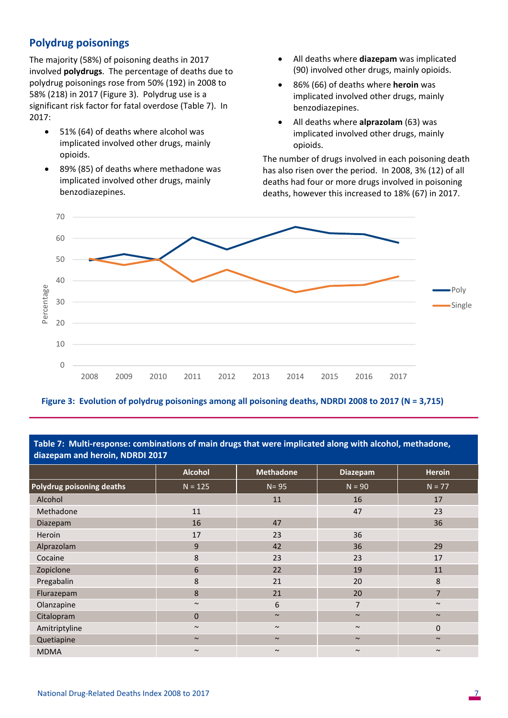## **Polydrug poisonings**

The majority (58%) of poisoning deaths in 2017 involved **polydrugs**. The percentage of deaths due to polydrug poisonings rose from 50% (192) in 2008 to 58% (218) in 2017 (Figure 3). Polydrug use is a significant risk factor for fatal overdose (Table 7). In 2017:

- 51% (64) of deaths where alcohol was implicated involved other drugs, mainly opioids.
- 89% (85) of deaths where methadone was implicated involved other drugs, mainly benzodiazepines.
- All deaths where **diazepam** was implicated (90) involved other drugs, mainly opioids.
- 86% (66) of deaths where **heroin** was implicated involved other drugs, mainly benzodiazepines.
- All deaths where **alprazolam** (63) was implicated involved other drugs, mainly opioids.

The number of drugs involved in each poisoning death has also risen over the period. In 2008, 3% (12) of all deaths had four or more drugs involved in poisoning deaths, however this increased to 18% (67) in 2017.



**Figure 3: Evolution of polydrug poisonings among all poisoning deaths, NDRDI 2008 to 2017 (N = 3,715)** 

**Table 7: Multi‐response: combinations of main drugs that were implicated along with alcohol, methadone, diazepam and heroin, NDRDI 2017** 

|                           | Alcohol      | <b>Methadone</b> | <b>Diazepam</b> | <b>Heroin</b>  |  |  |  |  |  |  |  |
|---------------------------|--------------|------------------|-----------------|----------------|--|--|--|--|--|--|--|
| Polydrug poisoning deaths | $N = 125$    | $N = 95$         | $N = 90$        | $N = 77$       |  |  |  |  |  |  |  |
| Alcohol                   |              | 11               | 16              | 17             |  |  |  |  |  |  |  |
| Methadone                 | 11           |                  | 47              | 23             |  |  |  |  |  |  |  |
| Diazepam                  | 16           | 47               |                 | 36             |  |  |  |  |  |  |  |
| Heroin                    | 17           | 23               | 36              |                |  |  |  |  |  |  |  |
| Alprazolam                | 9            | 42               | 36              | 29             |  |  |  |  |  |  |  |
| Cocaine                   | 8            | 23               | 23              | 17             |  |  |  |  |  |  |  |
| Zopiclone                 | 6            | 22               | 19              | 11             |  |  |  |  |  |  |  |
| Pregabalin                | 8            | 21               | 20              | 8              |  |  |  |  |  |  |  |
| Flurazepam                | 8            | 21               | 20              | $\overline{7}$ |  |  |  |  |  |  |  |
| Olanzapine                | $\sim$       | 6                | $\overline{7}$  | $\sim$         |  |  |  |  |  |  |  |
| Citalopram                | $\mathbf{0}$ | $\sim$           | $\sim$          | $\sim$         |  |  |  |  |  |  |  |
| Amitriptyline             | $\sim$       | $\sim$           | $\sim$          | $\mathbf 0$    |  |  |  |  |  |  |  |
| Quetiapine                | $\sim$       | $\sim$           | $\sim$          | $\sim$         |  |  |  |  |  |  |  |
| <b>MDMA</b>               | $\sim$       | $\sim$           | $\sim$          | $\sim$         |  |  |  |  |  |  |  |